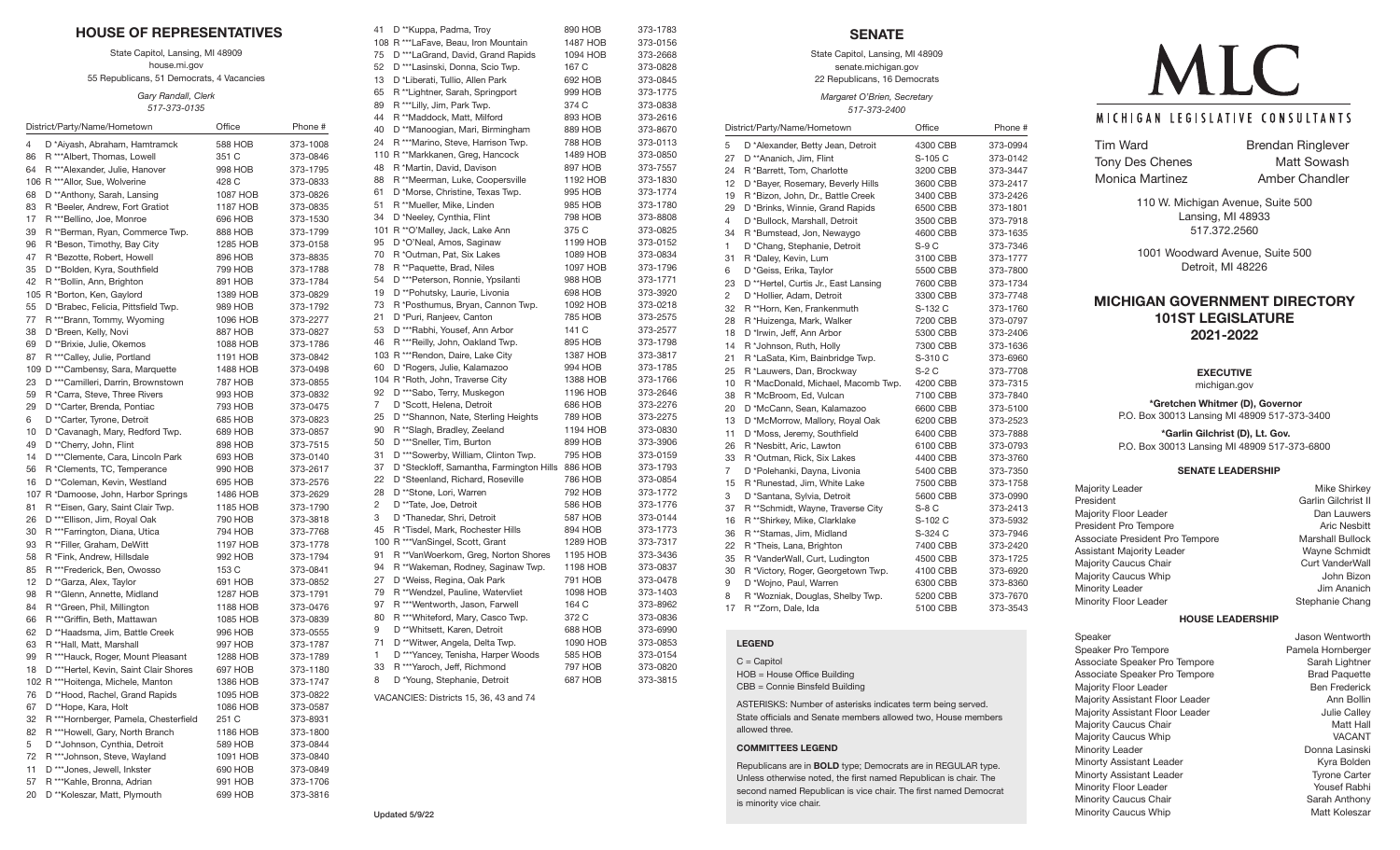| <b>HOUSE OF REPRESENTATIVES</b>                                                               |                     |                      |  |
|-----------------------------------------------------------------------------------------------|---------------------|----------------------|--|
| State Capitol, Lansing, MI 48909<br>house.mi.gov<br>55 Republicans, 51 Democrats, 4 Vacancies |                     |                      |  |
| Gary Randall, Clerk<br>517-373-0135                                                           |                     |                      |  |
| District/Party/Name/Hometown                                                                  | Office              | Phone #              |  |
|                                                                                               |                     |                      |  |
| 4<br>D *Aiyash, Abraham, Hamtramck                                                            | 588 HOB             | 373-1008             |  |
| R *** Albert, Thomas, Lowell<br>86<br>R *** Alexander, Julie, Hanover<br>64                   | 351 C<br>998 HOB    | 373-0846<br>373-1795 |  |
| 106 R *** Allor, Sue, Wolverine                                                               | 428 C               | 373-0833             |  |
| D **Anthony, Sarah, Lansing<br>68                                                             | 1087 HOB            | 373-0826             |  |
| 83<br>R *Beeler, Andrew, Fort Gratiot                                                         | 1187 HOB            | 373-0835             |  |
| R *** Bellino, Joe, Monroe<br>17                                                              | 696 HOB             | 373-1530             |  |
| 39<br>R **Berman, Ryan, Commerce Twp.                                                         | 888 HOB             | 373-1799             |  |
| 96<br>R *Beson, Timothy, Bay City                                                             | 1285 HOB            | 373-0158             |  |
| 47<br>R *Bezotte, Robert, Howell                                                              | 896 HOB             | 373-8835             |  |
| 35<br>D **Bolden, Kyra, Southfield                                                            | 799 HOB             | 373-1788             |  |
| 42<br>R **Bollin, Ann, Brighton                                                               | 891 HOB             | 373-1784             |  |
| 105 R *Borton, Ken, Gaylord                                                                   | 1389 HOB            | 373-0829             |  |
| D *Brabec, Felicia, Pittsfield Twp.<br>55                                                     | 989 HOB             | 373-1792             |  |
| R ***Brann, Tommy, Wyoming<br>77                                                              | 1096 HOB            | 373-2277             |  |
| 38<br>D *Breen, Kelly, Novi                                                                   | 887 HOB             | 373-0827             |  |
| 69<br>D **Brixie, Julie, Okemos                                                               | 1088 HOB            | 373-1786             |  |
| R *** Calley, Julie, Portland<br>87                                                           | 1191 HOB            | 373-0842             |  |
| 109 D *** Cambensy, Sara, Marquette                                                           | 1488 HOB            | 373-0498             |  |
| 23<br>D ***Camilleri, Darrin, Brownstown                                                      | 787 HOB             | 373-0855             |  |
| 59<br>R *Carra, Steve, Three Rivers                                                           | 993 HOB             | 373-0832             |  |
| D **Carter, Brenda, Pontiac<br>29<br>6                                                        | 793 HOB<br>685 HOB  | 373-0475<br>373-0823 |  |
| D **Carter, Tyrone, Detroit<br>10<br>D *Cavanagh, Mary, Redford Twp.                          | 689 HOB             | 373-0857             |  |
| 49<br>D **Cherry, John, Flint                                                                 | 898 HOB             | 373-7515             |  |
| 14<br>D *** Clemente, Cara, Lincoln Park                                                      | 693 HOB             | 373-0140             |  |
| R *Clements, TC, Temperance<br>56                                                             | 990 HOB             | 373-2617             |  |
| 16<br>D **Coleman, Kevin, Westland                                                            | 695 HOB             | 373-2576             |  |
| 107 R *Damoose, John, Harbor Springs                                                          | 1486 HOB            | 373-2629             |  |
| 81<br>R **Eisen, Gary, Saint Clair Twp.                                                       | 1185 HOB            | 373-1790             |  |
| 26<br>D *** Ellison, Jim, Royal Oak                                                           | 790 HOB             | 373-3818             |  |
| 30<br>R ***Farrington, Diana, Utica                                                           | 794 HOB             | 373-7768             |  |
| 93<br>R **Filler, Graham, DeWitt                                                              | 1197 HOB            | 373-1778             |  |
| 58<br>R *Fink, Andrew, Hillsdale                                                              | 992 HOB             | 373-1794             |  |
| 85<br>R ***Frederick, Ben, Owosso                                                             | 153 C               | 373-0841             |  |
| 12<br>D **Garza, Alex, Taylor                                                                 | 691 HOB             | 373-0852             |  |
| R ** Glenn, Annette, Midland<br>98                                                            | 1287 HOB            | 373-1791             |  |
| 84<br>R ** Green, Phil, Millington                                                            | 1188 HOB            | 373-0476             |  |
| R *** Griffin, Beth, Mattawan<br>66                                                           | 1085 HOB            | 373-0839             |  |
| 62<br>D **Haadsma, Jim, Battle Creek                                                          | 996 HOB             | 373-0555             |  |
| 63<br>R **Hall, Matt, Marshall                                                                | 997 HOB             | 373-1787             |  |
| R ***Hauck, Roger, Mount Pleasant<br>99                                                       | 1288 HOB            | 373-1789<br>373-1180 |  |
| D ***Hertel, Kevin, Saint Clair Shores<br>18<br>102 R ***Hoitenga, Michele, Manton            | 697 HOB<br>1386 HOB | 373-1747             |  |
| 76<br>D **Hood, Rachel, Grand Rapids                                                          | 1095 HOB            | 373-0822             |  |
| 67<br>D **Hope, Kara, Holt                                                                    | 1086 HOB            | 373-0587             |  |
| 32<br>R ***Hornberger, Pamela, Chesterfield                                                   | 251 C               | 373-8931             |  |
| R *** Howell, Gary, North Branch<br>82                                                        | 1186 HOB            | 373-1800             |  |
| 5<br>D ** Johnson, Cynthia, Detroit                                                           | 589 HOB             | 373-0844             |  |
| 72<br>R *** Johnson, Steve, Wayland                                                           | 1091 HOB            | 373-0840             |  |
| D *** Jones, Jewell, Inkster<br>11                                                            | 690 HOB             | 373-0849             |  |
| 57<br>R *** Kahle, Bronna, Adrian                                                             | 991 HOB             | 373-1706             |  |
| D **Koleszar, Matt, Plymouth<br>20                                                            | 699 HOB             | 373-3816             |  |
|                                                                                               |                     |                      |  |

| 108 R *** La Fave, Beau, Iron Mountain<br>D *** La Grand, David, Grand Rapids<br>D ***Lasinski, Donna, Scio Twp.<br>D *Liberati, Tullio, Allen Park<br>R **Lightner, Sarah, Springport<br>R ***Lilly, Jim, Park Twp.<br>R **Maddock, Matt, Milford<br>D **Manoogian, Mari, Birmingham<br>R ***Marino, Steve, Harrison Twp.<br>110 R **Markkanen, Greg, Hancock<br>R *Martin, David, Davison<br>R **Meerman, Luke, Coopersville<br>D *Morse, Christine, Texas Twp.<br>R **Mueller, Mike, Linden<br>D *Neeley, Cynthia, Flint<br>101 R **O'Malley, Jack, Lake Ann<br>D *O'Neal, Amos, Saginaw<br>R *Outman, Pat, Six Lakes<br>R **Paquette, Brad, Niles<br>D ***Peterson, Ronnie, Ypsilanti<br>D **Pohutsky, Laurie, Livonia<br>R *Posthumus, Bryan, Cannon Twp.<br>D *Puri, Ranjeev, Canton<br>D ***Rabhi, Yousef, Ann Arbor<br>R ***Reilly, John, Oakland Twp.<br>103 R *** Rendon, Daire, Lake City<br>D *Rogers, Julie, Kalamazoo<br>104 R *Roth, John, Traverse City<br>D *** Sabo, Terry, Muskegon<br>D *Scott, Helena, Detroit | 1487 HOB<br>1094 HOB<br>167 C<br>692 HOB<br>999 HOB<br>374 C<br>893 HOB<br>889 HOB<br>788 HOB<br>1489 HOB<br>897 HOB<br>1192 HOB<br>995 HOB<br>985 HOB<br>798 HOB<br>375 C<br>1199 HOB<br>1089 HOB<br>1097 HOB<br>988 HOB<br>698 HOB<br>1092 HOB<br>785 HOB<br>141 C<br>895 HOB<br>1387 HOB<br>994 HOB<br>1388 HOB<br>1196 HOB | 373-0156<br>373-2668<br>373-0828<br>373-0845<br>373-1775<br>373-0838<br>373-2616<br>373-8670<br>373-0113<br>373-0850<br>373-7557<br>373-1830<br>373-1774<br>373-1780<br>373-8808<br>373-0825<br>373-0152<br>373-0834<br>373-1796<br>373-1771<br>373-3920<br>373-0218<br>373-2575<br>373-2577<br>373-1798<br>373-3817<br>373-1785 |
|-------------------------------------------------------------------------------------------------------------------------------------------------------------------------------------------------------------------------------------------------------------------------------------------------------------------------------------------------------------------------------------------------------------------------------------------------------------------------------------------------------------------------------------------------------------------------------------------------------------------------------------------------------------------------------------------------------------------------------------------------------------------------------------------------------------------------------------------------------------------------------------------------------------------------------------------------------------------------------------------------------------------------------------|--------------------------------------------------------------------------------------------------------------------------------------------------------------------------------------------------------------------------------------------------------------------------------------------------------------------------------|----------------------------------------------------------------------------------------------------------------------------------------------------------------------------------------------------------------------------------------------------------------------------------------------------------------------------------|
|                                                                                                                                                                                                                                                                                                                                                                                                                                                                                                                                                                                                                                                                                                                                                                                                                                                                                                                                                                                                                                     |                                                                                                                                                                                                                                                                                                                                |                                                                                                                                                                                                                                                                                                                                  |
|                                                                                                                                                                                                                                                                                                                                                                                                                                                                                                                                                                                                                                                                                                                                                                                                                                                                                                                                                                                                                                     |                                                                                                                                                                                                                                                                                                                                |                                                                                                                                                                                                                                                                                                                                  |
|                                                                                                                                                                                                                                                                                                                                                                                                                                                                                                                                                                                                                                                                                                                                                                                                                                                                                                                                                                                                                                     |                                                                                                                                                                                                                                                                                                                                |                                                                                                                                                                                                                                                                                                                                  |
|                                                                                                                                                                                                                                                                                                                                                                                                                                                                                                                                                                                                                                                                                                                                                                                                                                                                                                                                                                                                                                     |                                                                                                                                                                                                                                                                                                                                |                                                                                                                                                                                                                                                                                                                                  |
|                                                                                                                                                                                                                                                                                                                                                                                                                                                                                                                                                                                                                                                                                                                                                                                                                                                                                                                                                                                                                                     |                                                                                                                                                                                                                                                                                                                                |                                                                                                                                                                                                                                                                                                                                  |
|                                                                                                                                                                                                                                                                                                                                                                                                                                                                                                                                                                                                                                                                                                                                                                                                                                                                                                                                                                                                                                     |                                                                                                                                                                                                                                                                                                                                |                                                                                                                                                                                                                                                                                                                                  |
|                                                                                                                                                                                                                                                                                                                                                                                                                                                                                                                                                                                                                                                                                                                                                                                                                                                                                                                                                                                                                                     |                                                                                                                                                                                                                                                                                                                                |                                                                                                                                                                                                                                                                                                                                  |
|                                                                                                                                                                                                                                                                                                                                                                                                                                                                                                                                                                                                                                                                                                                                                                                                                                                                                                                                                                                                                                     |                                                                                                                                                                                                                                                                                                                                |                                                                                                                                                                                                                                                                                                                                  |
|                                                                                                                                                                                                                                                                                                                                                                                                                                                                                                                                                                                                                                                                                                                                                                                                                                                                                                                                                                                                                                     |                                                                                                                                                                                                                                                                                                                                |                                                                                                                                                                                                                                                                                                                                  |
|                                                                                                                                                                                                                                                                                                                                                                                                                                                                                                                                                                                                                                                                                                                                                                                                                                                                                                                                                                                                                                     |                                                                                                                                                                                                                                                                                                                                |                                                                                                                                                                                                                                                                                                                                  |
|                                                                                                                                                                                                                                                                                                                                                                                                                                                                                                                                                                                                                                                                                                                                                                                                                                                                                                                                                                                                                                     |                                                                                                                                                                                                                                                                                                                                |                                                                                                                                                                                                                                                                                                                                  |
|                                                                                                                                                                                                                                                                                                                                                                                                                                                                                                                                                                                                                                                                                                                                                                                                                                                                                                                                                                                                                                     |                                                                                                                                                                                                                                                                                                                                |                                                                                                                                                                                                                                                                                                                                  |
|                                                                                                                                                                                                                                                                                                                                                                                                                                                                                                                                                                                                                                                                                                                                                                                                                                                                                                                                                                                                                                     |                                                                                                                                                                                                                                                                                                                                |                                                                                                                                                                                                                                                                                                                                  |
|                                                                                                                                                                                                                                                                                                                                                                                                                                                                                                                                                                                                                                                                                                                                                                                                                                                                                                                                                                                                                                     |                                                                                                                                                                                                                                                                                                                                |                                                                                                                                                                                                                                                                                                                                  |
|                                                                                                                                                                                                                                                                                                                                                                                                                                                                                                                                                                                                                                                                                                                                                                                                                                                                                                                                                                                                                                     |                                                                                                                                                                                                                                                                                                                                |                                                                                                                                                                                                                                                                                                                                  |
|                                                                                                                                                                                                                                                                                                                                                                                                                                                                                                                                                                                                                                                                                                                                                                                                                                                                                                                                                                                                                                     |                                                                                                                                                                                                                                                                                                                                |                                                                                                                                                                                                                                                                                                                                  |
|                                                                                                                                                                                                                                                                                                                                                                                                                                                                                                                                                                                                                                                                                                                                                                                                                                                                                                                                                                                                                                     |                                                                                                                                                                                                                                                                                                                                |                                                                                                                                                                                                                                                                                                                                  |
|                                                                                                                                                                                                                                                                                                                                                                                                                                                                                                                                                                                                                                                                                                                                                                                                                                                                                                                                                                                                                                     |                                                                                                                                                                                                                                                                                                                                |                                                                                                                                                                                                                                                                                                                                  |
|                                                                                                                                                                                                                                                                                                                                                                                                                                                                                                                                                                                                                                                                                                                                                                                                                                                                                                                                                                                                                                     |                                                                                                                                                                                                                                                                                                                                |                                                                                                                                                                                                                                                                                                                                  |
|                                                                                                                                                                                                                                                                                                                                                                                                                                                                                                                                                                                                                                                                                                                                                                                                                                                                                                                                                                                                                                     |                                                                                                                                                                                                                                                                                                                                |                                                                                                                                                                                                                                                                                                                                  |
|                                                                                                                                                                                                                                                                                                                                                                                                                                                                                                                                                                                                                                                                                                                                                                                                                                                                                                                                                                                                                                     |                                                                                                                                                                                                                                                                                                                                |                                                                                                                                                                                                                                                                                                                                  |
|                                                                                                                                                                                                                                                                                                                                                                                                                                                                                                                                                                                                                                                                                                                                                                                                                                                                                                                                                                                                                                     |                                                                                                                                                                                                                                                                                                                                |                                                                                                                                                                                                                                                                                                                                  |
|                                                                                                                                                                                                                                                                                                                                                                                                                                                                                                                                                                                                                                                                                                                                                                                                                                                                                                                                                                                                                                     |                                                                                                                                                                                                                                                                                                                                |                                                                                                                                                                                                                                                                                                                                  |
|                                                                                                                                                                                                                                                                                                                                                                                                                                                                                                                                                                                                                                                                                                                                                                                                                                                                                                                                                                                                                                     |                                                                                                                                                                                                                                                                                                                                |                                                                                                                                                                                                                                                                                                                                  |
|                                                                                                                                                                                                                                                                                                                                                                                                                                                                                                                                                                                                                                                                                                                                                                                                                                                                                                                                                                                                                                     |                                                                                                                                                                                                                                                                                                                                |                                                                                                                                                                                                                                                                                                                                  |
|                                                                                                                                                                                                                                                                                                                                                                                                                                                                                                                                                                                                                                                                                                                                                                                                                                                                                                                                                                                                                                     |                                                                                                                                                                                                                                                                                                                                |                                                                                                                                                                                                                                                                                                                                  |
|                                                                                                                                                                                                                                                                                                                                                                                                                                                                                                                                                                                                                                                                                                                                                                                                                                                                                                                                                                                                                                     |                                                                                                                                                                                                                                                                                                                                |                                                                                                                                                                                                                                                                                                                                  |
|                                                                                                                                                                                                                                                                                                                                                                                                                                                                                                                                                                                                                                                                                                                                                                                                                                                                                                                                                                                                                                     |                                                                                                                                                                                                                                                                                                                                |                                                                                                                                                                                                                                                                                                                                  |
|                                                                                                                                                                                                                                                                                                                                                                                                                                                                                                                                                                                                                                                                                                                                                                                                                                                                                                                                                                                                                                     |                                                                                                                                                                                                                                                                                                                                | 373-1766                                                                                                                                                                                                                                                                                                                         |
|                                                                                                                                                                                                                                                                                                                                                                                                                                                                                                                                                                                                                                                                                                                                                                                                                                                                                                                                                                                                                                     |                                                                                                                                                                                                                                                                                                                                | 373-2646                                                                                                                                                                                                                                                                                                                         |
|                                                                                                                                                                                                                                                                                                                                                                                                                                                                                                                                                                                                                                                                                                                                                                                                                                                                                                                                                                                                                                     | 686 HOB                                                                                                                                                                                                                                                                                                                        | 373-2276                                                                                                                                                                                                                                                                                                                         |
|                                                                                                                                                                                                                                                                                                                                                                                                                                                                                                                                                                                                                                                                                                                                                                                                                                                                                                                                                                                                                                     | 789 HOB                                                                                                                                                                                                                                                                                                                        | 373-2275                                                                                                                                                                                                                                                                                                                         |
| D **Shannon, Nate, Sterling Heights<br>R ** Slagh, Bradley, Zeeland                                                                                                                                                                                                                                                                                                                                                                                                                                                                                                                                                                                                                                                                                                                                                                                                                                                                                                                                                                 | 1194 HOB                                                                                                                                                                                                                                                                                                                       | 373-0830                                                                                                                                                                                                                                                                                                                         |
| D ***Sneller, Tim, Burton                                                                                                                                                                                                                                                                                                                                                                                                                                                                                                                                                                                                                                                                                                                                                                                                                                                                                                                                                                                                           | 899 HOB                                                                                                                                                                                                                                                                                                                        | 373-3906                                                                                                                                                                                                                                                                                                                         |
|                                                                                                                                                                                                                                                                                                                                                                                                                                                                                                                                                                                                                                                                                                                                                                                                                                                                                                                                                                                                                                     |                                                                                                                                                                                                                                                                                                                                |                                                                                                                                                                                                                                                                                                                                  |
| D ***Sowerby, William, Clinton Twp.                                                                                                                                                                                                                                                                                                                                                                                                                                                                                                                                                                                                                                                                                                                                                                                                                                                                                                                                                                                                 | 795 HOB                                                                                                                                                                                                                                                                                                                        | 373-0159                                                                                                                                                                                                                                                                                                                         |
| D *Steckloff, Samantha, Farmington Hills                                                                                                                                                                                                                                                                                                                                                                                                                                                                                                                                                                                                                                                                                                                                                                                                                                                                                                                                                                                            | 886 HOB                                                                                                                                                                                                                                                                                                                        | 373-1793                                                                                                                                                                                                                                                                                                                         |
| D *Steenland, Richard, Roseville                                                                                                                                                                                                                                                                                                                                                                                                                                                                                                                                                                                                                                                                                                                                                                                                                                                                                                                                                                                                    | 786 HOB                                                                                                                                                                                                                                                                                                                        | 373-0854                                                                                                                                                                                                                                                                                                                         |
| D **Stone, Lori, Warren                                                                                                                                                                                                                                                                                                                                                                                                                                                                                                                                                                                                                                                                                                                                                                                                                                                                                                                                                                                                             | 792 HOB                                                                                                                                                                                                                                                                                                                        | 373-1772                                                                                                                                                                                                                                                                                                                         |
| D **Tate, Joe, Detroit                                                                                                                                                                                                                                                                                                                                                                                                                                                                                                                                                                                                                                                                                                                                                                                                                                                                                                                                                                                                              | 586 HOB                                                                                                                                                                                                                                                                                                                        | 373-1776                                                                                                                                                                                                                                                                                                                         |
|                                                                                                                                                                                                                                                                                                                                                                                                                                                                                                                                                                                                                                                                                                                                                                                                                                                                                                                                                                                                                                     |                                                                                                                                                                                                                                                                                                                                | 373-0144                                                                                                                                                                                                                                                                                                                         |
|                                                                                                                                                                                                                                                                                                                                                                                                                                                                                                                                                                                                                                                                                                                                                                                                                                                                                                                                                                                                                                     |                                                                                                                                                                                                                                                                                                                                | 373-1773                                                                                                                                                                                                                                                                                                                         |
|                                                                                                                                                                                                                                                                                                                                                                                                                                                                                                                                                                                                                                                                                                                                                                                                                                                                                                                                                                                                                                     |                                                                                                                                                                                                                                                                                                                                | 373-7317                                                                                                                                                                                                                                                                                                                         |
| R **VanWoerkom, Greg, Norton Shores                                                                                                                                                                                                                                                                                                                                                                                                                                                                                                                                                                                                                                                                                                                                                                                                                                                                                                                                                                                                 | 1195 HOB                                                                                                                                                                                                                                                                                                                       | 373-3436                                                                                                                                                                                                                                                                                                                         |
| R **Wakeman, Rodney, Saginaw Twp.                                                                                                                                                                                                                                                                                                                                                                                                                                                                                                                                                                                                                                                                                                                                                                                                                                                                                                                                                                                                   | 1198 HOB                                                                                                                                                                                                                                                                                                                       | 373-0837                                                                                                                                                                                                                                                                                                                         |
| D *Weiss, Regina, Oak Park                                                                                                                                                                                                                                                                                                                                                                                                                                                                                                                                                                                                                                                                                                                                                                                                                                                                                                                                                                                                          | 791 HOB                                                                                                                                                                                                                                                                                                                        | 373-0478                                                                                                                                                                                                                                                                                                                         |
| R **Wendzel, Pauline, Watervliet                                                                                                                                                                                                                                                                                                                                                                                                                                                                                                                                                                                                                                                                                                                                                                                                                                                                                                                                                                                                    | 1098 HOB                                                                                                                                                                                                                                                                                                                       | 373-1403                                                                                                                                                                                                                                                                                                                         |
| R ***Wentworth, Jason, Farwell                                                                                                                                                                                                                                                                                                                                                                                                                                                                                                                                                                                                                                                                                                                                                                                                                                                                                                                                                                                                      | 164 C                                                                                                                                                                                                                                                                                                                          | 373-8962                                                                                                                                                                                                                                                                                                                         |
|                                                                                                                                                                                                                                                                                                                                                                                                                                                                                                                                                                                                                                                                                                                                                                                                                                                                                                                                                                                                                                     | 372 C                                                                                                                                                                                                                                                                                                                          | 373-0836                                                                                                                                                                                                                                                                                                                         |
|                                                                                                                                                                                                                                                                                                                                                                                                                                                                                                                                                                                                                                                                                                                                                                                                                                                                                                                                                                                                                                     | 688 HOB                                                                                                                                                                                                                                                                                                                        | 373-6990                                                                                                                                                                                                                                                                                                                         |
|                                                                                                                                                                                                                                                                                                                                                                                                                                                                                                                                                                                                                                                                                                                                                                                                                                                                                                                                                                                                                                     |                                                                                                                                                                                                                                                                                                                                | 373-0853                                                                                                                                                                                                                                                                                                                         |
|                                                                                                                                                                                                                                                                                                                                                                                                                                                                                                                                                                                                                                                                                                                                                                                                                                                                                                                                                                                                                                     |                                                                                                                                                                                                                                                                                                                                | 373-0154                                                                                                                                                                                                                                                                                                                         |
|                                                                                                                                                                                                                                                                                                                                                                                                                                                                                                                                                                                                                                                                                                                                                                                                                                                                                                                                                                                                                                     |                                                                                                                                                                                                                                                                                                                                | 373-0820                                                                                                                                                                                                                                                                                                                         |
|                                                                                                                                                                                                                                                                                                                                                                                                                                                                                                                                                                                                                                                                                                                                                                                                                                                                                                                                                                                                                                     | 687 HOB                                                                                                                                                                                                                                                                                                                        |                                                                                                                                                                                                                                                                                                                                  |
| D *Young, Stephanie, Detroit                                                                                                                                                                                                                                                                                                                                                                                                                                                                                                                                                                                                                                                                                                                                                                                                                                                                                                                                                                                                        |                                                                                                                                                                                                                                                                                                                                | 373-3815                                                                                                                                                                                                                                                                                                                         |
|                                                                                                                                                                                                                                                                                                                                                                                                                                                                                                                                                                                                                                                                                                                                                                                                                                                                                                                                                                                                                                     | D *Thanedar, Shri, Detroit<br>R *Tisdel, Mark, Rochester Hills<br>100 R ***VanSingel, Scott, Grant<br>R ***Whiteford, Mary, Casco Twp.<br>D **Whitsett, Karen, Detroit<br>D **Witwer, Angela, Delta Twp.<br>D ***Yancey, Tenisha, Harper Woods<br>R *** Yaroch, Jeff, Richmond                                                 | 587 HOB<br>894 HOB<br>1289 HOB<br>1090 HOB<br>585 HOB<br>797 HOB                                                                                                                                                                                                                                                                 |

# **SENATE**

State Capitol, Lansing, MI 48909 senate.michigan.gov 22 Republicans, 16 Democrats

*Margaret O'Brien, Secretary*

# *517-373-2400*

|    | District/Party/Name/Hometown         | Office   | Phone #  |
|----|--------------------------------------|----------|----------|
| 5  | D *Alexander, Betty Jean, Detroit    | 4300 CBB | 373-0994 |
| 27 | D **Ananich, Jim, Flint              | S-105 C  | 373-0142 |
| 24 | R *Barrett, Tom, Charlotte           | 3200 CBB | 373-3447 |
| 12 | D *Bayer, Rosemary, Beverly Hills    | 3600 CBB | 373-2417 |
| 19 | R *Bizon, John, Dr., Battle Creek    | 3400 CBB | 373-2426 |
| 29 | D *Brinks, Winnie, Grand Rapids      | 6500 CBB | 373-1801 |
| 4  | D *Bullock, Marshall, Detroit        | 3500 CBB | 373-7918 |
| 34 | R *Bumstead, Jon, Newaygo            | 4600 CBB | 373-1635 |
| 1  | D *Chang, Stephanie, Detroit         | S-9 C    | 373-7346 |
| 31 | R *Daley, Kevin, Lum                 | 3100 CBB | 373-1777 |
| 6  | D *Geiss, Erika, Taylor              | 5500 CBB | 373-7800 |
| 23 | D **Hertel, Curtis Jr., East Lansing | 7600 CBB | 373-1734 |
| 2  | D *Hollier, Adam, Detroit            | 3300 CBB | 373-7748 |
| 32 | R **Horn, Ken, Frankenmuth           | S-132 C  | 373-1760 |
| 28 | R *Huizenga, Mark, Walker            | 7200 CBB | 373-0797 |
| 18 | D *Irwin, Jeff, Ann Arbor            | 5300 CBB | 373-2406 |
| 14 | R *Johnson, Ruth, Holly              | 7300 CBB | 373-1636 |
| 21 | R *LaSata, Kim, Bainbridge Twp.      | S-310 C  | 373-6960 |
| 25 | R *Lauwers, Dan, Brockway            | S-2 C    | 373-7708 |
| 10 | R *MacDonald, Michael, Macomb Twp.   | 4200 CBB | 373-7315 |
| 38 | R *McBroom, Ed, Vulcan               | 7100 CBB | 373-7840 |
| 20 | D *McCann, Sean, Kalamazoo           | 6600 CBB | 373-5100 |
| 13 | D *McMorrow, Mallory, Royal Oak      | 6200 CBB | 373-2523 |
| 11 | D *Moss, Jeremy, Southfield          | 6400 CBB | 373-7888 |
| 26 | R *Nesbitt, Aric, Lawton             | 6100 CBB | 373-0793 |
| 33 | R *Outman, Rick, Six Lakes           | 4400 CBB | 373-3760 |
| 7  | D *Polehanki, Dayna, Livonia         | 5400 CBB | 373-7350 |
| 15 | R *Runestad, Jim, White Lake         | 7500 CBB | 373-1758 |
| 3  | D *Santana, Sylvia, Detroit          | 5600 CBB | 373-0990 |
| 37 | R **Schmidt, Wayne, Traverse City    | S-8 C    | 373-2413 |
| 16 | R ** Shirkey, Mike, Clarklake        | S-102 C  | 373-5932 |
| 36 | R **Stamas, Jim, Midland             | S-324 C  | 373-7946 |
| 22 | R *Theis, Lana, Brighton             | 7400 CBB | 373-2420 |
| 35 | R *VanderWall, Curt, Ludington       | 4500 CBB | 373-1725 |
| 30 | R *Victory, Roger, Georgetown Twp.   | 4100 CBB | 373-6920 |
| 9  | D *Wojno, Paul, Warren               | 6300 CBB | 373-8360 |
| 8  | R *Wozniak, Douglas, Shelby Twp.     | 5200 CBB | 373-7670 |
| 17 | R **Zorn, Dale, Ida                  | 5100 CBB | 373-3543 |
|    |                                      |          |          |

#### **LEGEND**

 $C =$  Capitol HOB = House Office Building CBB = Connie Binsfeld Building

ASTERISKS: Number of asterisks indicates term being served. State officials and Senate members allowed two, House members allowed three.

#### **COMMITTEES LEGEND**

Republicans are in **BOLD** type; Democrats are in REGULAR type. Unless otherwise noted, the first named Republican is chair. The second named Republican is vice chair. The first named Democrat is minority vice chair.

# MLC MICHIGAN LEGISLATIVE CONSULTANTS

| <b>Tim Ward</b>        |
|------------------------|
| <b>Tony Des Chenes</b> |
| Monica Martinez        |

Brendan Ringlever es Matt Sowash Monica Martinez **Amber Chandler** 

> 110 W. Michigan Avenue, Suite 500 Lansing, MI 48933 517.372.2560

1001 Woodward Avenue, Suite 500 Detroit, MI 48226

# **MICHIGAN GOVERNMENT DIRECTORY 101ST LEGISLATURE 2021-2022**

**EXECUTIVE** michigan.gov

**\*Gretchen Whitmer (D), Governor** P.O. Box 30013 Lansing MI 48909 517-373-3400

**\*Garlin Gilchrist (D), Lt. Gov.** P.O. Box 30013 Lansing MI 48909 517-373-6800

#### **SENATE LEADERSHIP**

Majority Leader **Mike Shirkey** Mike Shirkey President Garlin Gilchrist II<br>Majority Floor Leader Garlin Garlin Gilchrist II Majority Floor Leader President Pro Tempore **Aric Nesbitt**<br>Associate President Pro Tempore **Aric Network** Marshall Bullock Associate President Pro Tempore Assistant Majority Leader Wayne Schmidt Majority Caucus Chair **Curt VanderWall**<br>Majority Caucus Whip Curt VanderWall Majority Caucus Whip Minority Leader **Jim Ananich** Minority Floor Leader Stephanie Chang

#### **HOUSE LEADERSHIP**

Speaker **Speaker Speaker Speaker Speaker Pro Tempore** Speaker All and the Speaker Pro Tempore Speaker Speaker Speaker Speaker Speaker Speaker Speaker Speaker Speaker Speaker Speaker Speaker Speaker Speaker Speaker Speaker Speaker Pro Tempore Pamela Hornberger<br>
Associate Speaker Pro Tempore<br>
Pamela Hornberger<br>
Pamela Hornberger<br>
Pamela Hornberger Associate Speaker Pro Tempore Sarah Lightner<br>
Associate Speaker Pro Tempore<br>
Strad Paquette Associate Speaker Pro Tempore<br>
Maiority Floor Leader<br>
Ben Frederick Majority Floor Leader **Ben Frederick**<br>Majority Assistant Floor Leader **Ben Ann Bollin** Majority Assistant Floor Leader **Ann Bollin**<br>Majority Assistant Floor Leader **Ann Bollin** Majority Assistant Floor Leader **Julie Calley**<br>Majority Caucus Chair<br>Matt Hall Majority Caucus Chair **Matt Hall** Maiority Caucus Whip<br>
Majority Caucus Whip<br>
Majority Caucus Whip Majority Caucus Whip VACANT<br>
Minority Leader (Vacantes Vacantes Vacantes Vacantes Vacantes Vacantes Vacantes Vacantes Vacantes Vacantes Va<br>
Ponna Lasinski Minority Leader **Donna Lasinski**<br>Minorty Assistant Leader **Donna Lasinski**<br>Kyra Bolden Minorty Assistant Leader The Control of Minorty Assistant Leader Control of Tyrone Carter Minorty Assistant Leader Tyrone Carter Ninority Floor Leader School Carter Ninority Floor Leader Minority Floor Leader The County of The Minority Caucus Chair<br>Minority Caucus Chair The County Sarah Anthony Minority Caucus Chair **Samuel Chair** Sarah Anthony<br>Minority Caucus Whip Samuel Sarah Anthony<br>Sarah Anthony Caucus Whip Minority Caucus Whip